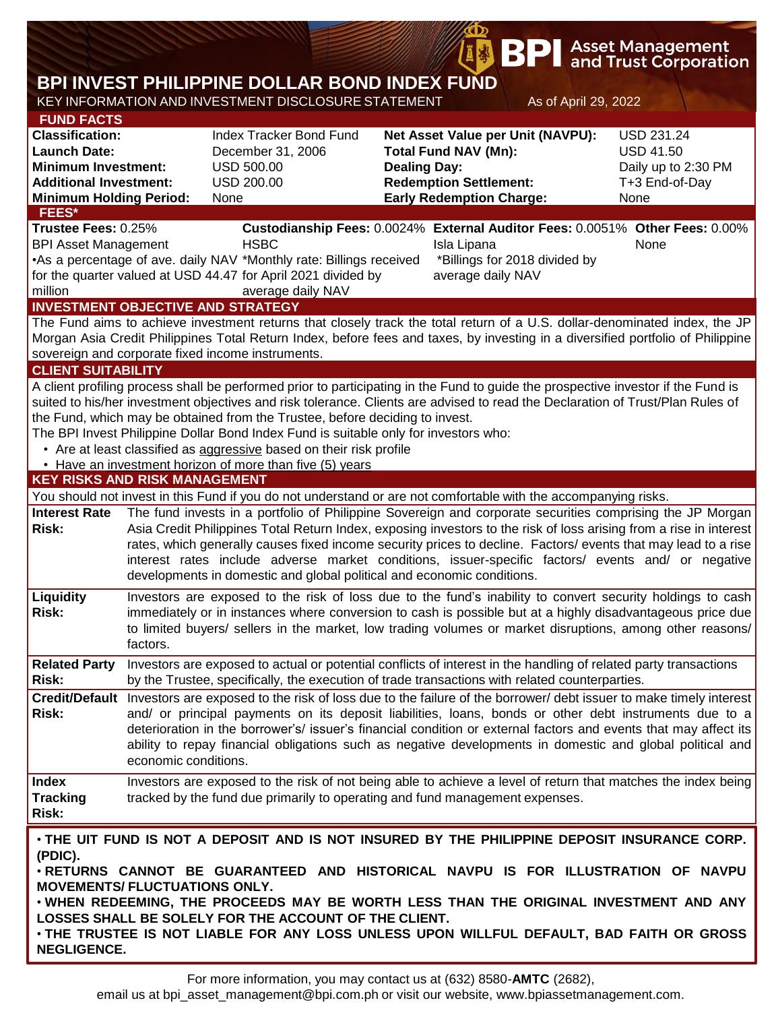|                                                                                                                                                                                                                                                               |          |                                                                                                                                                                                                                                                                                                                                                                                                                                                                                                                                                                                                                                                      |                                                                                                                                                             | <b>BPI</b>                                                        |                      | <b>Asset Management</b><br>and Trust Corporation                                       |  |  |  |  |  |
|---------------------------------------------------------------------------------------------------------------------------------------------------------------------------------------------------------------------------------------------------------------|----------|------------------------------------------------------------------------------------------------------------------------------------------------------------------------------------------------------------------------------------------------------------------------------------------------------------------------------------------------------------------------------------------------------------------------------------------------------------------------------------------------------------------------------------------------------------------------------------------------------------------------------------------------------|-------------------------------------------------------------------------------------------------------------------------------------------------------------|-------------------------------------------------------------------|----------------------|----------------------------------------------------------------------------------------|--|--|--|--|--|
| BPI INVEST PHILIPPINE DOLLAR BOND INDEX FUND                                                                                                                                                                                                                  |          |                                                                                                                                                                                                                                                                                                                                                                                                                                                                                                                                                                                                                                                      |                                                                                                                                                             |                                                                   |                      |                                                                                        |  |  |  |  |  |
|                                                                                                                                                                                                                                                               |          | KEY INFORMATION AND INVESTMENT DISCLOSURE STATEMENT                                                                                                                                                                                                                                                                                                                                                                                                                                                                                                                                                                                                  |                                                                                                                                                             |                                                                   | As of April 29, 2022 |                                                                                        |  |  |  |  |  |
| <b>FUND FACTS</b><br><b>Classification:</b><br><b>Launch Date:</b><br><b>Minimum Investment:</b><br><b>Additional Investment:</b><br><b>Minimum Holding Period:</b>                                                                                           |          | <b>Index Tracker Bond Fund</b><br>December 31, 2006<br><b>USD 500.00</b><br><b>USD 200.00</b><br>None                                                                                                                                                                                                                                                                                                                                                                                                                                                                                                                                                | Net Asset Value per Unit (NAVPU):<br><b>Total Fund NAV (Mn):</b><br><b>Dealing Day:</b><br><b>Redemption Settlement:</b><br><b>Early Redemption Charge:</b> |                                                                   |                      | <b>USD 231.24</b><br><b>USD 41.50</b><br>Daily up to 2:30 PM<br>T+3 End-of-Day<br>None |  |  |  |  |  |
| FEES*<br>Trustee Fees: 0.25%                                                                                                                                                                                                                                  |          | Custodianship Fees: 0.0024% External Auditor Fees: 0.0051% Other Fees: 0.00%                                                                                                                                                                                                                                                                                                                                                                                                                                                                                                                                                                         |                                                                                                                                                             |                                                                   |                      |                                                                                        |  |  |  |  |  |
| <b>BPI Asset Management</b><br>million                                                                                                                                                                                                                        |          | <b>HSBC</b><br>•As a percentage of ave. daily NAV *Monthly rate: Billings received<br>for the quarter valued at USD 44.47 for April 2021 divided by<br>average daily NAV<br><b>INVESTMENT OBJECTIVE AND STRATEGY</b>                                                                                                                                                                                                                                                                                                                                                                                                                                 |                                                                                                                                                             | Isla Lipana<br>*Billings for 2018 divided by<br>average daily NAV |                      | None                                                                                   |  |  |  |  |  |
|                                                                                                                                                                                                                                                               |          |                                                                                                                                                                                                                                                                                                                                                                                                                                                                                                                                                                                                                                                      |                                                                                                                                                             |                                                                   |                      |                                                                                        |  |  |  |  |  |
| The Fund aims to achieve investment returns that closely track the total return of a U.S. dollar-denominated index, the JP<br>Morgan Asia Credit Philippines Total Return Index, before fees and taxes, by investing in a diversified portfolio of Philippine |          |                                                                                                                                                                                                                                                                                                                                                                                                                                                                                                                                                                                                                                                      |                                                                                                                                                             |                                                                   |                      |                                                                                        |  |  |  |  |  |
| sovereign and corporate fixed income instruments.                                                                                                                                                                                                             |          |                                                                                                                                                                                                                                                                                                                                                                                                                                                                                                                                                                                                                                                      |                                                                                                                                                             |                                                                   |                      |                                                                                        |  |  |  |  |  |
| <b>CLIENT SUITABILITY</b>                                                                                                                                                                                                                                     |          |                                                                                                                                                                                                                                                                                                                                                                                                                                                                                                                                                                                                                                                      |                                                                                                                                                             |                                                                   |                      |                                                                                        |  |  |  |  |  |
| <b>KEY RISKS AND RISK MANAGEMENT</b>                                                                                                                                                                                                                          |          | A client profiling process shall be performed prior to participating in the Fund to guide the prospective investor if the Fund is<br>suited to his/her investment objectives and risk tolerance. Clients are advised to read the Declaration of Trust/Plan Rules of<br>the Fund, which may be obtained from the Trustee, before deciding to invest.<br>The BPI Invest Philippine Dollar Bond Index Fund is suitable only for investors who:<br>• Are at least classified as aggressive based on their risk profile<br>• Have an investment horizon of more than five (5) years                                                                       |                                                                                                                                                             |                                                                   |                      |                                                                                        |  |  |  |  |  |
|                                                                                                                                                                                                                                                               |          |                                                                                                                                                                                                                                                                                                                                                                                                                                                                                                                                                                                                                                                      |                                                                                                                                                             |                                                                   |                      |                                                                                        |  |  |  |  |  |
| <b>Interest Rate</b><br><b>Risk:</b>                                                                                                                                                                                                                          |          | You should not invest in this Fund if you do not understand or are not comfortable with the accompanying risks.<br>The fund invests in a portfolio of Philippine Sovereign and corporate securities comprising the JP Morgan<br>Asia Credit Philippines Total Return Index, exposing investors to the risk of loss arising from a rise in interest<br>rates, which generally causes fixed income security prices to decline. Factors/ events that may lead to a rise<br>interest rates include adverse market conditions, issuer-specific factors/ events and/ or negative<br>developments in domestic and global political and economic conditions. |                                                                                                                                                             |                                                                   |                      |                                                                                        |  |  |  |  |  |
| Liquidity<br><b>Risk:</b>                                                                                                                                                                                                                                     | factors. | Investors are exposed to the risk of loss due to the fund's inability to convert security holdings to cash<br>immediately or in instances where conversion to cash is possible but at a highly disadvantageous price due<br>to limited buyers/ sellers in the market, low trading volumes or market disruptions, among other reasons/                                                                                                                                                                                                                                                                                                                |                                                                                                                                                             |                                                                   |                      |                                                                                        |  |  |  |  |  |
| <b>Related Party</b><br><b>Risk:</b>                                                                                                                                                                                                                          |          | Investors are exposed to actual or potential conflicts of interest in the handling of related party transactions<br>by the Trustee, specifically, the execution of trade transactions with related counterparties.                                                                                                                                                                                                                                                                                                                                                                                                                                   |                                                                                                                                                             |                                                                   |                      |                                                                                        |  |  |  |  |  |
| Risk:                                                                                                                                                                                                                                                         |          | Credit/Default Investors are exposed to the risk of loss due to the failure of the borrower/ debt issuer to make timely interest<br>and/ or principal payments on its deposit liabilities, loans, bonds or other debt instruments due to a<br>deterioration in the borrower's/ issuer's financial condition or external factors and events that may affect its<br>ability to repay financial obligations such as negative developments in domestic and global political and<br>economic conditions.                                                                                                                                                  |                                                                                                                                                             |                                                                   |                      |                                                                                        |  |  |  |  |  |
| <b>Index</b><br><b>Tracking</b><br>Risk:                                                                                                                                                                                                                      |          | Investors are exposed to the risk of not being able to achieve a level of return that matches the index being<br>tracked by the fund due primarily to operating and fund management expenses.                                                                                                                                                                                                                                                                                                                                                                                                                                                        |                                                                                                                                                             |                                                                   |                      |                                                                                        |  |  |  |  |  |
| (PDIC).<br><b>MOVEMENTS/ FLUCTUATIONS ONLY.</b><br><b>NEGLIGENCE.</b>                                                                                                                                                                                         |          | . THE UIT FUND IS NOT A DEPOSIT AND IS NOT INSURED BY THE PHILIPPINE DEPOSIT INSURANCE CORP.<br>. RETURNS CANNOT BE GUARANTEED AND HISTORICAL NAVPU IS FOR ILLUSTRATION OF NAVPU<br>. WHEN REDEEMING, THE PROCEEDS MAY BE WORTH LESS THAN THE ORIGINAL INVESTMENT AND ANY<br>LOSSES SHALL BE SOLELY FOR THE ACCOUNT OF THE CLIENT.<br>. THE TRUSTEE IS NOT LIABLE FOR ANY LOSS UNLESS UPON WILLFUL DEFAULT, BAD FAITH OR GROSS                                                                                                                                                                                                                       |                                                                                                                                                             |                                                                   |                      |                                                                                        |  |  |  |  |  |

 $\mathbb{Z}$ 

email us at bpi\_asset\_management@bpi.com.ph or visit our website, www.bpiassetmanagement.com.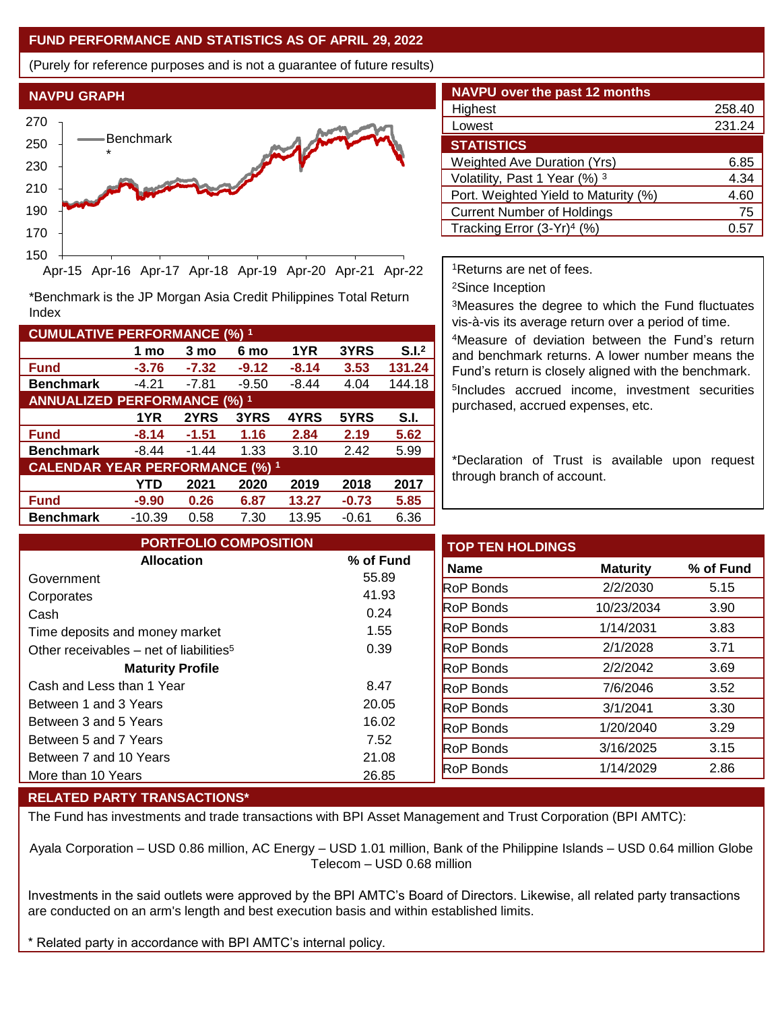## **FUND PERFORMANCE AND STATISTICS AS OF APRIL 29, 2022**

(Purely for reference purposes and is not a guarantee of future results)



**Fund -3.76 -7.32 -9.12 -8.14 3.53 131.24 Benchmark** -4.21 -7.81 -9.50 -8.44 4.04 144.18

\*Benchmark is the JP Morgan Asia Credit Philippines Total Return

**Fund -8.14 -1.51 1.16 2.84 2.19 5.62 Benchmark** -8.44 -1.44 1.33 3.10 2.42 5.99

**Fund -9.90 0.26 6.87 13.27 -0.73 5.85 Benchmark** -10.39 0.58 7.30 13.95 -0.61 6.36

**1 mo 3 mo 6 mo 1YR 3YRS S.I.<sup>2</sup>**

**1YR 2YRS 3YRS 4YRS 5YRS S.I.**

**YTD 2021 2020 2019 2018 2017**

| <b>NAVPU over the past 12 months</b> |  |  |  |  |  |  |  |
|--------------------------------------|--|--|--|--|--|--|--|
| 258.40                               |  |  |  |  |  |  |  |
| 231.24                               |  |  |  |  |  |  |  |
|                                      |  |  |  |  |  |  |  |
| 6.85                                 |  |  |  |  |  |  |  |
| 4.34                                 |  |  |  |  |  |  |  |
| 4.60                                 |  |  |  |  |  |  |  |
| 75                                   |  |  |  |  |  |  |  |
| 0.5                                  |  |  |  |  |  |  |  |
|                                      |  |  |  |  |  |  |  |

<sup>1</sup>Returns are net of fees.

<sup>2</sup>Since Inception

<sup>3</sup>Measures the degree to which the Fund fluctuates vis-à-vis its average return over a period of time.

<sup>4</sup>Measure of deviation between the Fund's return and benchmark returns. A lower number means the Fund's return is closely aligned with the benchmark. 5 Includes accrued income, investment securities purchased, accrued expenses, etc.

\*Declaration of Trust is available upon request through branch of account.

| <b>PORTFOLIO COMPOSITION</b>                        |               | <b>TOP TEN HOLDINGS</b> |                 |  |
|-----------------------------------------------------|---------------|-------------------------|-----------------|--|
| <b>Allocation</b>                                   | % of Fund     | <b>Name</b>             | <b>Maturity</b> |  |
| Government                                          | 55.89         | <b>RoP Bonds</b>        | 2/2/2030        |  |
| Corporates<br>Cash                                  | 41.93<br>0.24 | <b>RoP Bonds</b>        | 10/23/2034      |  |
| Time deposits and money market                      | 1.55          | <b>RoP Bonds</b>        | 1/14/2031       |  |
| Other receivables – net of liabilities <sup>5</sup> | 0.39          | <b>RoP Bonds</b>        | 2/1/2028        |  |
| <b>Maturity Profile</b>                             |               | <b>RoP Bonds</b>        | 2/2/2042        |  |
| Cash and Less than 1 Year                           | 8.47          | <b>RoP Bonds</b>        | 7/6/2046        |  |
| Between 1 and 3 Years                               | 20.05         | <b>RoP Bonds</b>        | 3/1/2041        |  |
| Between 3 and 5 Years                               | 16.02         | <b>RoP Bonds</b>        | 1/20/2040       |  |
| Between 5 and 7 Years                               | 7.52          | <b>RoP Bonds</b>        | 3/16/2025       |  |
| Between 7 and 10 Years                              | 21.08         | <b>RoP</b> Bonds        | 1/14/2029       |  |
| More than 10 Years                                  | 26.85         |                         |                 |  |

## **RELATED PARTY TRANSACTIONS\***

**CUMULATIVE PERFORMANCE (%) <sup>1</sup>**

Index

**ANNUALIZED PERFORMANCE (%) <sup>1</sup>**

**CALENDAR YEAR PERFORMANCE (%) <sup>1</sup>**

The Fund has investments and trade transactions with BPI Asset Management and Trust Corporation (BPI AMTC):

Ayala Corporation – USD 0.86 million, AC Energy – USD 1.01 million, Bank of the Philippine Islands – USD 0.64 million Globe Telecom – USD 0.68 million

Investments in the said outlets were approved by the BPI AMTC's Board of Directors. Likewise, all related party transactions are conducted on an arm's length and best execution basis and within established limits.

\* Related party in accordance with BPI AMTC's internal policy.